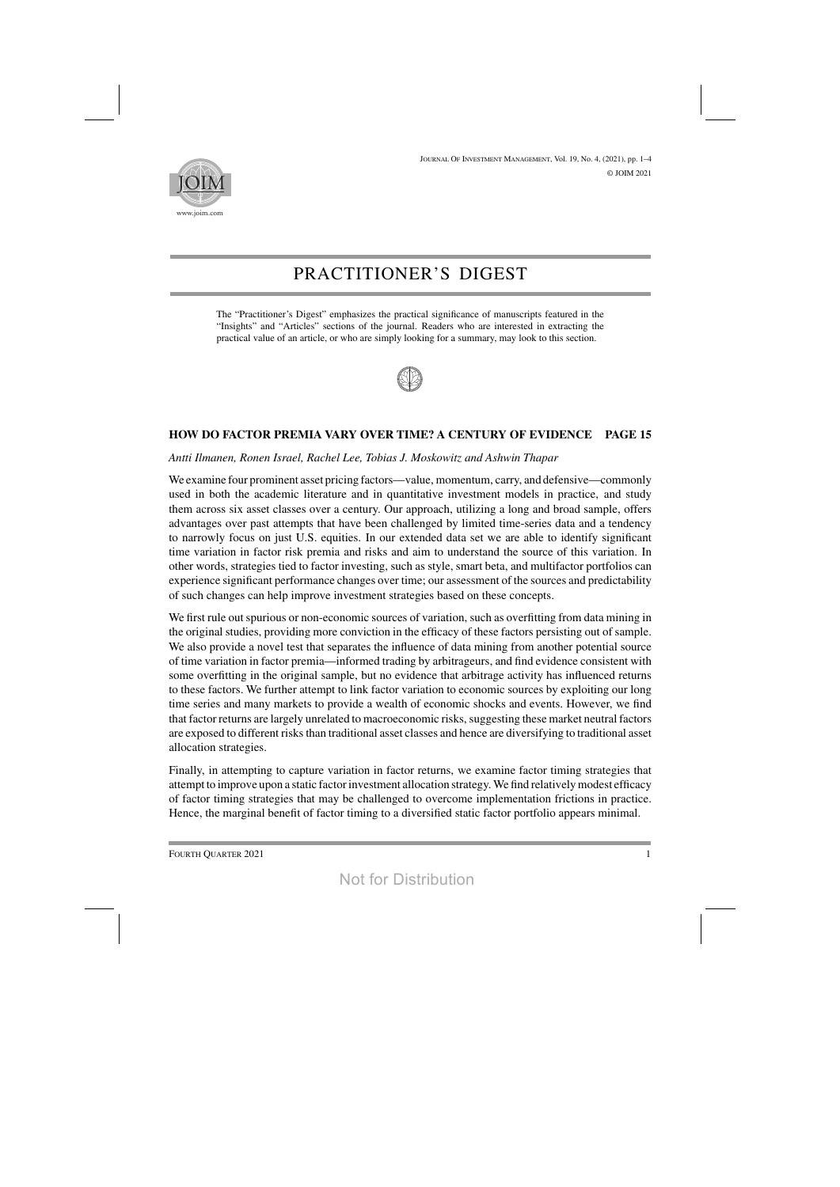

# PRACTITIONER'S DIGEST

The "Practitioner's Digest" emphasizes the practical significance of manuscripts featured in the "Insights" and "Articles" sections of the journal. Readers who are interested in extracting the practical value of an article, or who are simply looking for a summary, may look to this section.



## **HOW DO FACTOR PREMIA VARY OVER TIME? A CENTURY OF EVIDENCE PAGE 15**

#### *Antti Ilmanen, Ronen Israel, Rachel Lee, Tobias J. Moskowitz and Ashwin Thapar*

We examine four prominent asset pricing factors—value, momentum, carry, and defensive—commonly used in both the academic literature and in quantitative investment models in practice, and study them across six asset classes over a century. Our approach, utilizing a long and broad sample, offers advantages over past attempts that have been challenged by limited time-series data and a tendency to narrowly focus on just U.S. equities. In our extended data set we are able to identify significant time variation in factor risk premia and risks and aim to understand the source of this variation. In other words, strategies tied to factor investing, such as style, smart beta, and multifactor portfolios can experience significant performance changes over time; our assessment of the sources and predictability of such changes can help improve investment strategies based on these concepts.

We first rule out spurious or non-economic sources of variation, such as overfitting from data mining in the original studies, providing more conviction in the efficacy of these factors persisting out of sample. We also provide a novel test that separates the influence of data mining from another potential source of time variation in factor premia—informed trading by arbitrageurs, and find evidence consistent with some overfitting in the original sample, but no evidence that arbitrage activity has influenced returns to these factors. We further attempt to link factor variation to economic sources by exploiting our long time series and many markets to provide a wealth of economic shocks and events. However, we find that factor returns are largely unrelated to macroeconomic risks, suggesting these market neutral factors are exposed to different risks than traditional asset classes and hence are diversifying to traditional asset allocation strategies.

Finally, in attempting to capture variation in factor returns, we examine factor timing strategies that attempt to improve upon a static factor investment allocation strategy. We find relatively modest efficacy of factor timing strategies that may be challenged to overcome implementation frictions in practice. Hence, the marginal benefit of factor timing to a diversified static factor portfolio appears minimal.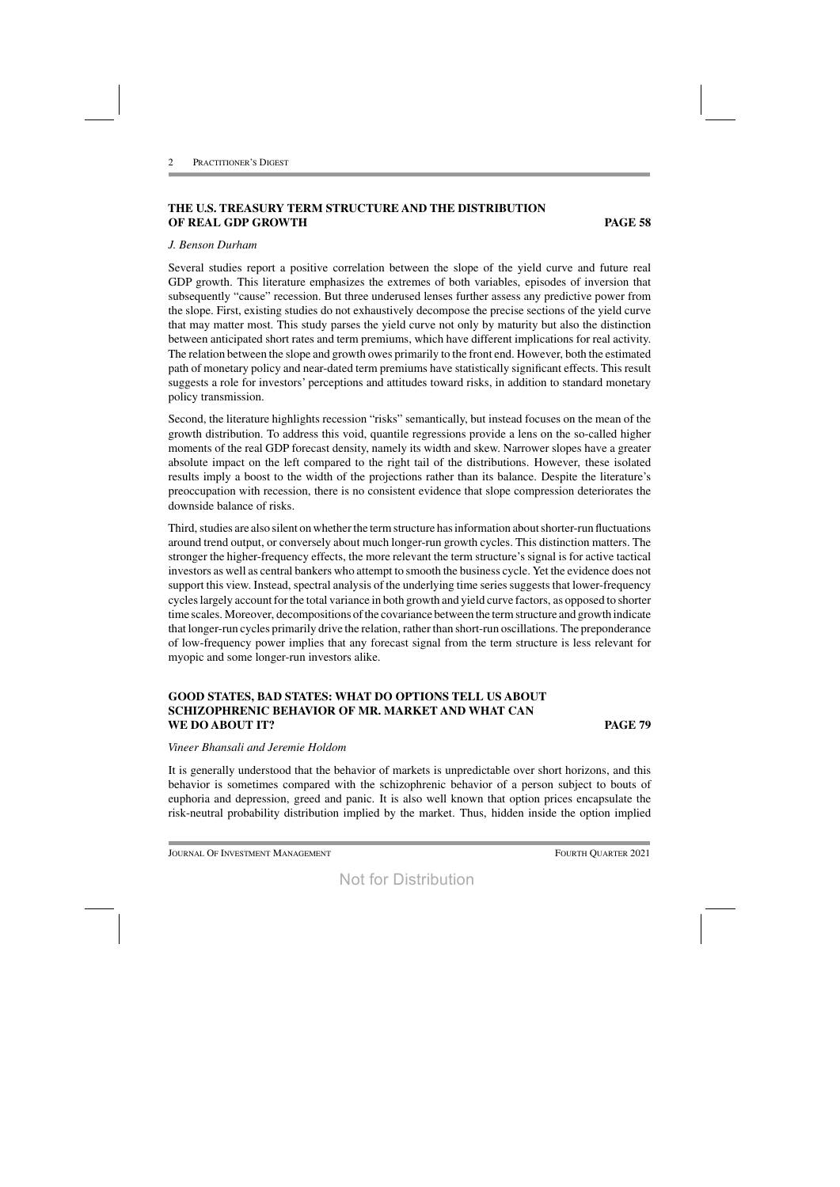# **THE U.S. TREASURY TERM STRUCTURE AND THE DISTRIBUTION OF REAL GDP GROWTH PAGE 58**

#### *J. Benson Durham*

Several studies report a positive correlation between the slope of the yield curve and future real GDP growth. This literature emphasizes the extremes of both variables, episodes of inversion that subsequently "cause" recession. But three underused lenses further assess any predictive power from the slope. First, existing studies do not exhaustively decompose the precise sections of the yield curve that may matter most. This study parses the yield curve not only by maturity but also the distinction between anticipated short rates and term premiums, which have different implications for real activity. The relation between the slope and growth owes primarily to the front end. However, both the estimated path of monetary policy and near-dated term premiums have statistically significant effects. This result suggests a role for investors' perceptions and attitudes toward risks, in addition to standard monetary policy transmission.

Second, the literature highlights recession "risks" semantically, but instead focuses on the mean of the growth distribution. To address this void, quantile regressions provide a lens on the so-called higher moments of the real GDP forecast density, namely its width and skew. Narrower slopes have a greater absolute impact on the left compared to the right tail of the distributions. However, these isolated results imply a boost to the width of the projections rather than its balance. Despite the literature's preoccupation with recession, there is no consistent evidence that slope compression deteriorates the downside balance of risks.

Third, studies are also silent on whether the term structure has information about shorter-run fluctuations around trend output, or conversely about much longer-run growth cycles. This distinction matters. The stronger the higher-frequency effects, the more relevant the term structure's signal is for active tactical investors as well as central bankers who attempt to smooth the business cycle. Yet the evidence does not support this view. Instead, spectral analysis of the underlying time series suggests that lower-frequency cycles largely account for the total variance in both growth and yield curve factors, as opposed to shorter time scales. Moreover, decompositions of the covariance between the term structure and growth indicate that longer-run cycles primarily drive the relation, ratherthan short-run oscillations. The preponderance of low-frequency power implies that any forecast signal from the term structure is less relevant for myopic and some longer-run investors alike.

#### **GOOD STATES, BAD STATES: WHAT DO OPTIONS TELL US ABOUT SCHIZOPHRENIC BEHAVIOR OF MR. MARKET AND WHAT CAN WE DO ABOUT IT? PAGE 79**

#### *Vineer Bhansali and Jeremie Holdom*

It is generally understood that the behavior of markets is unpredictable over short horizons, and this behavior is sometimes compared with the schizophrenic behavior of a person subject to bouts of euphoria and depression, greed and panic. It is also well known that option prices encapsulate the risk-neutral probability distribution implied by the market. Thus, hidden inside the option implied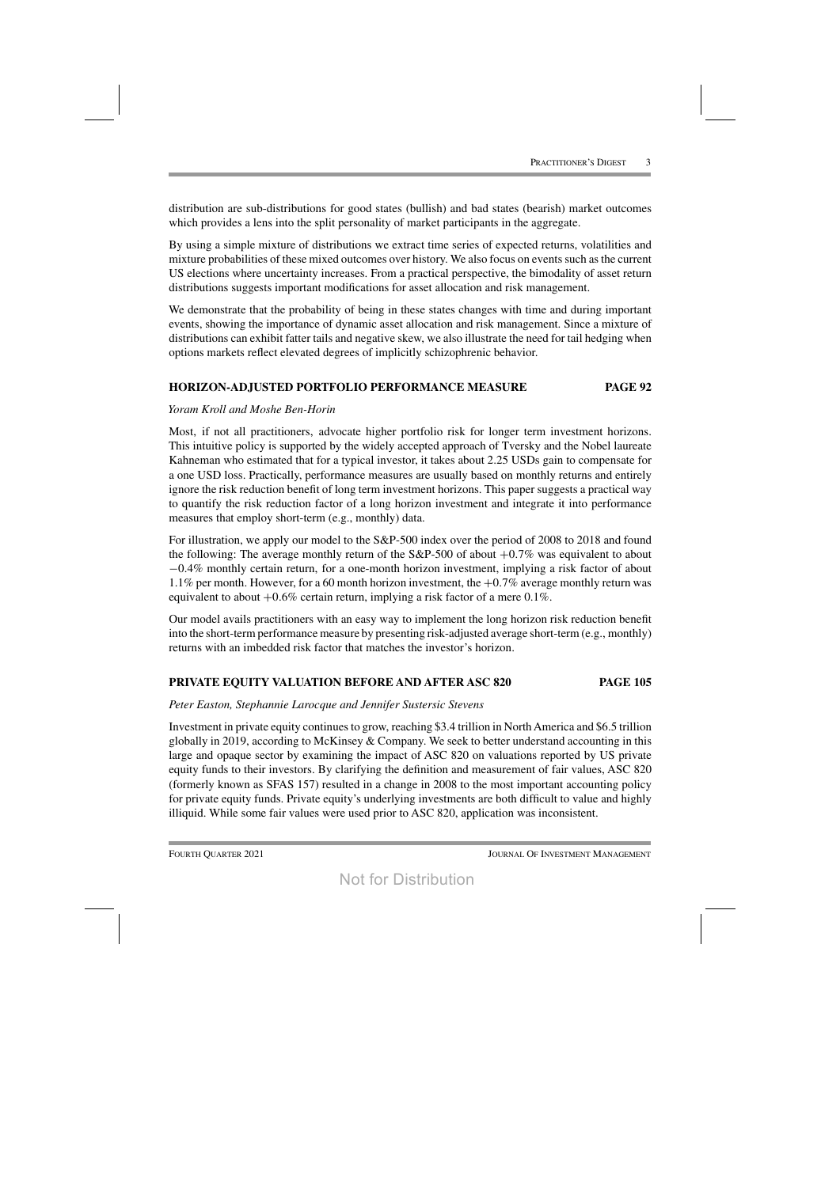distribution are sub-distributions for good states (bullish) and bad states (bearish) market outcomes which provides a lens into the split personality of market participants in the aggregate.

By using a simple mixture of distributions we extract time series of expected returns, volatilities and mixture probabilities of these mixed outcomes over history. We also focus on events such as the current US elections where uncertainty increases. From a practical perspective, the bimodality of asset return distributions suggests important modifications for asset allocation and risk management.

We demonstrate that the probability of being in these states changes with time and during important events, showing the importance of dynamic asset allocation and risk management. Since a mixture of distributions can exhibit fatter tails and negative skew, we also illustrate the need for tail hedging when options markets reflect elevated degrees of implicitly schizophrenic behavior.

## **HORIZON-ADJUSTED PORTFOLIO PERFORMANCE MEASURE PAGE 92**

## *Yoram Kroll and Moshe Ben-Horin*

Most, if not all practitioners, advocate higher portfolio risk for longer term investment horizons. This intuitive policy is supported by the widely accepted approach of Tversky and the Nobel laureate Kahneman who estimated that for a typical investor, it takes about 2.25 USDs gain to compensate for a one USD loss. Practically, performance measures are usually based on monthly returns and entirely ignore the risk reduction benefit of long term investment horizons. This paper suggests a practical way to quantify the risk reduction factor of a long horizon investment and integrate it into performance measures that employ short-term (e.g., monthly) data.

For illustration, we apply our model to the S&P-500 index over the period of 2008 to 2018 and found the following: The average monthly return of the  $S\&P-500$  of about  $+0.7\%$  was equivalent to about −0.4% monthly certain return, for a one-month horizon investment, implying a risk factor of about 1.1% per month. However, for a 60 month horizon investment, the  $+0.7\%$  average monthly return was equivalent to about  $+0.6\%$  certain return, implying a risk factor of a mere 0.1%.

Our model avails practitioners with an easy way to implement the long horizon risk reduction benefit into the short-term performance measure by presenting risk-adjusted average short-term (e.g., monthly) returns with an imbedded risk factor that matches the investor's horizon.

# **PRIVATE EQUITY VALUATION BEFORE AND AFTER ASC 820 PAGE 105**

#### *Peter Easton, Stephannie Larocque and Jennifer Sustersic Stevens*

Investment in private equity continuesto grow, reaching \$3.4 trillion in NorthAmerica and \$6.5 trillion globally in 2019, according to McKinsey & Company. We seek to better understand accounting in this large and opaque sector by examining the impact of ASC 820 on valuations reported by US private equity funds to their investors. By clarifying the definition and measurement of fair values, ASC 820 (formerly known as SFAS 157) resulted in a change in 2008 to the most important accounting policy for private equity funds. Private equity's underlying investments are both difficult to value and highly illiquid. While some fair values were used prior to ASC 820, application was inconsistent.